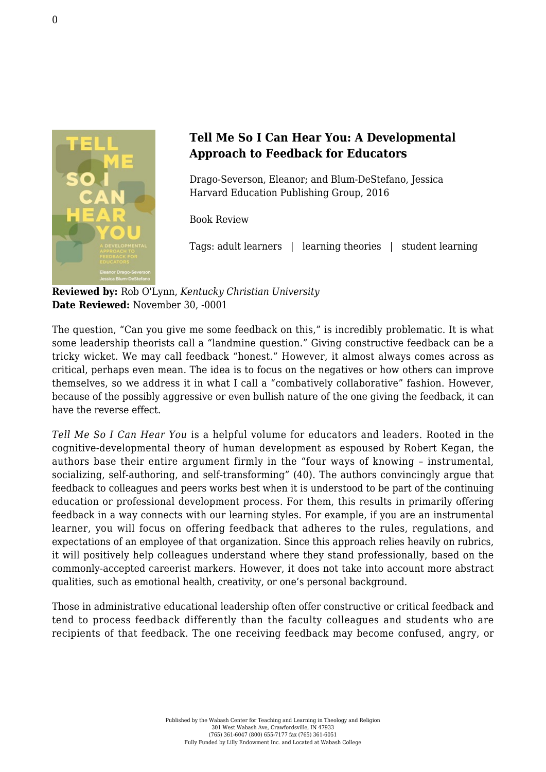

## **Tell Me So I Can Hear You: A Developmental Approach to Feedback for Educators**

Drago-Severson, Eleanor; and Blum-DeStefano, Jessica [Harvard Education Publishing Group, 2016](http://hepg.org/hep-home/books/tell-me-so-i-can-hear-you)

Book Review

Tags: adult learners | learning theories | student learning

**Reviewed by:** Rob O'Lynn, *Kentucky Christian University* **Date Reviewed:** November 30, -0001

The question, "Can you give me some feedback on this," is incredibly problematic. It is what some leadership theorists call a "landmine question." Giving constructive feedback can be a tricky wicket. We may call feedback "honest." However, it almost always comes across as critical, perhaps even mean. The idea is to focus on the negatives or how others can improve themselves, so we address it in what I call a "combatively collaborative" fashion. However, because of the possibly aggressive or even bullish nature of the one giving the feedback, it can have the reverse effect.

*Tell Me So I Can Hear You* is a helpful volume for educators and leaders. Rooted in the cognitive-developmental theory of human development as espoused by Robert Kegan, the authors base their entire argument firmly in the "four ways of knowing – instrumental, socializing, self-authoring, and self-transforming" (40). The authors convincingly argue that feedback to colleagues and peers works best when it is understood to be part of the continuing education or professional development process. For them, this results in primarily offering feedback in a way connects with our learning styles. For example, if you are an instrumental learner, you will focus on offering feedback that adheres to the rules, regulations, and expectations of an employee of that organization. Since this approach relies heavily on rubrics, it will positively help colleagues understand where they stand professionally, based on the commonly-accepted careerist markers. However, it does not take into account more abstract qualities, such as emotional health, creativity, or one's personal background.

Those in administrative educational leadership often offer constructive or critical feedback and tend to process feedback differently than the faculty colleagues and students who are recipients of that feedback. The one receiving feedback may become confused, angry, or